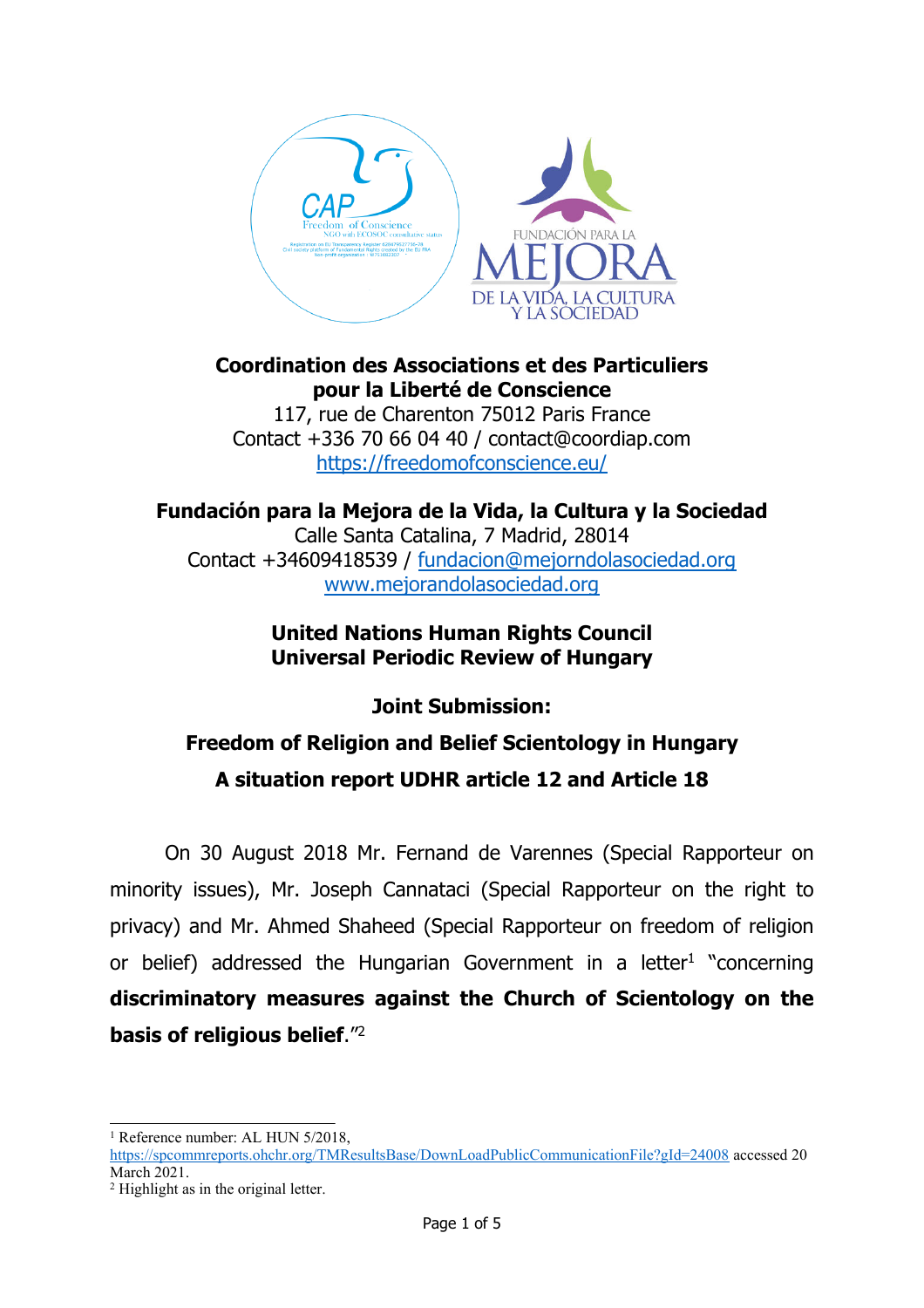

**Coordination des Associations et des Particuliers pour la Liberté de Conscience**

117, rue de Charenton 75012 Paris France Contact +336 70 66 04 40 / contact@coordiap.com <https://freedomofconscience.eu/>

**Fundación para la Mejora de la Vida, la Cultura y la Sociedad** Calle Santa Catalina, 7 Madrid, 28014 Contact +34609418539 / [fundacion@mejorndolasociedad.org](mailto:fundacion@mejorndolasociedad.org) [www.mejorandolasociedad.org](http://www.mejorandolasociedad.org)

## **United Nations Human Rights Council Universal Periodic Review of Hungary**

**Joint Submission:**

## **Freedom of Religion and Belief Scientology in Hungary A situation report UDHR article 12 and Article 18**

On 30 August 2018 Mr. Fernand de Varennes (Special Rapporteur on minority issues), Mr. Joseph Cannataci (Special Rapporteur on the right to privacy) and Mr. Ahmed Shaheed (Special Rapporteur on freedom of religion or belief) addressed the Hungarian Government in a letter<sup>1</sup> "concerning **discriminatory measures against the Church of Scientology on the basis of religious belief**." 2

<sup>&</sup>lt;sup>1</sup> Reference number: AL HUN 5/2018,

<https://spcommreports.ohchr.org/TMResultsBase/DownLoadPublicCommunicationFile?gId=24008> accessed 20 March 2021.

<sup>2</sup> Highlight as in the original letter.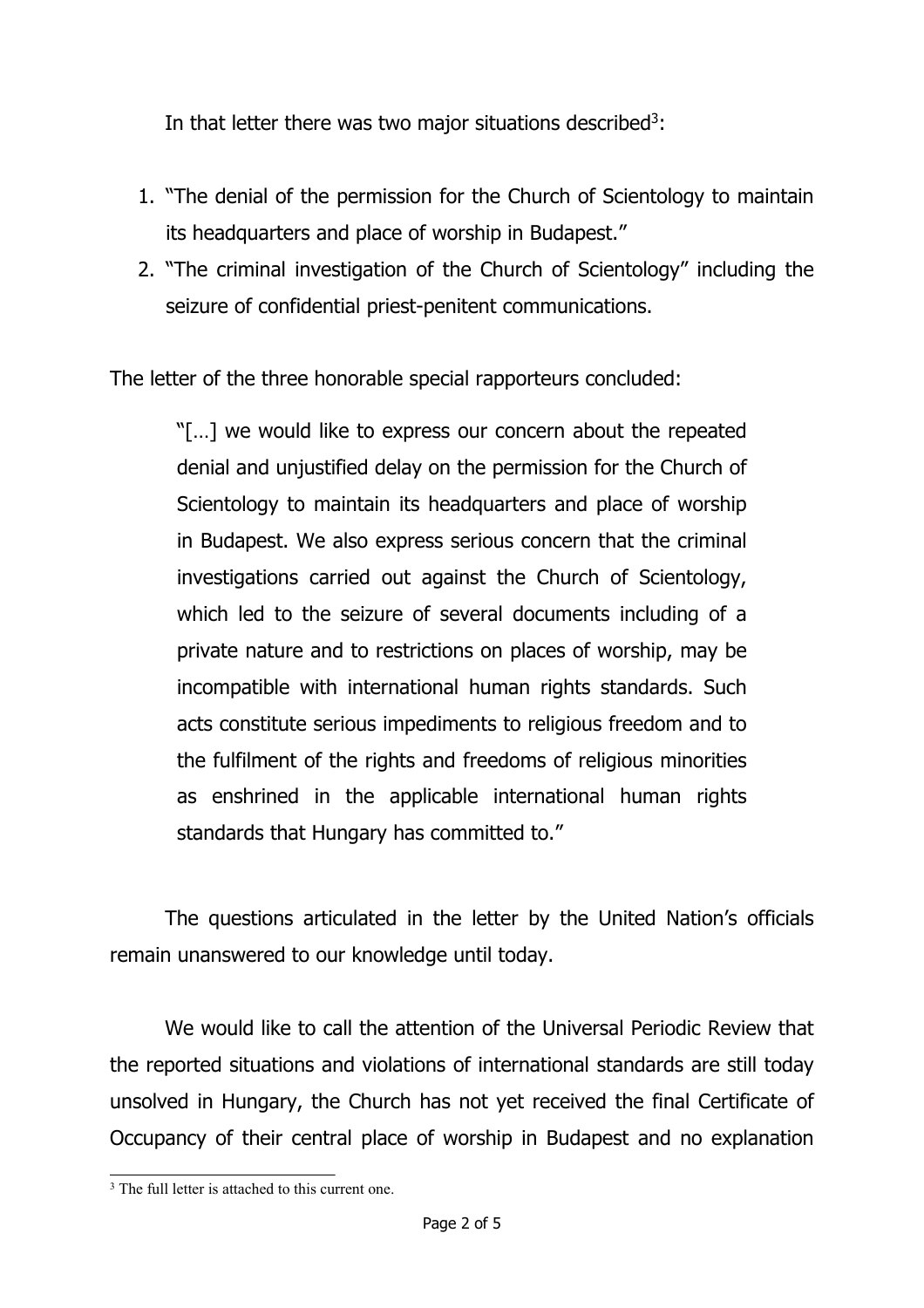In that letter there was two major situations described<sup>3</sup>:

- 1. "The denial of the permission for the Church of Scientology to maintain its headquarters and place of worship in Budapest."
- 2. "The criminal investigation of the Church of Scientology" including the seizure of confidential priest-penitent communications.

The letter of the three honorable special rapporteurs concluded:

"[…] we would like to express our concern about the repeated denial and unjustified delay on the permission for the Church of Scientology to maintain its headquarters and place of worship in Budapest. We also express serious concern that the criminal investigations carried out against the Church of Scientology, which led to the seizure of several documents including of <sup>a</sup> private nature and to restrictions on places of worship, may be incompatible with international human rights standards. Such acts constitute serious impediments to religious freedom and to the fulfilment of the rights and freedoms of religious minorities as enshrined in the applicable international human rights standards that Hungary has committed to."

The questions articulated in the letter by the United Nation'<sup>s</sup> officials remain unanswered to our knowledge until today.

We would like to call the attention of the Universal Periodic Review that the reported situations and violations of international standards are still today unsolved in Hungary, the Church has not yet received the final Certificate of Occupancy of their central place of worship in Budapest and no explanation

<sup>&</sup>lt;sup>3</sup> The full letter is attached to this current one.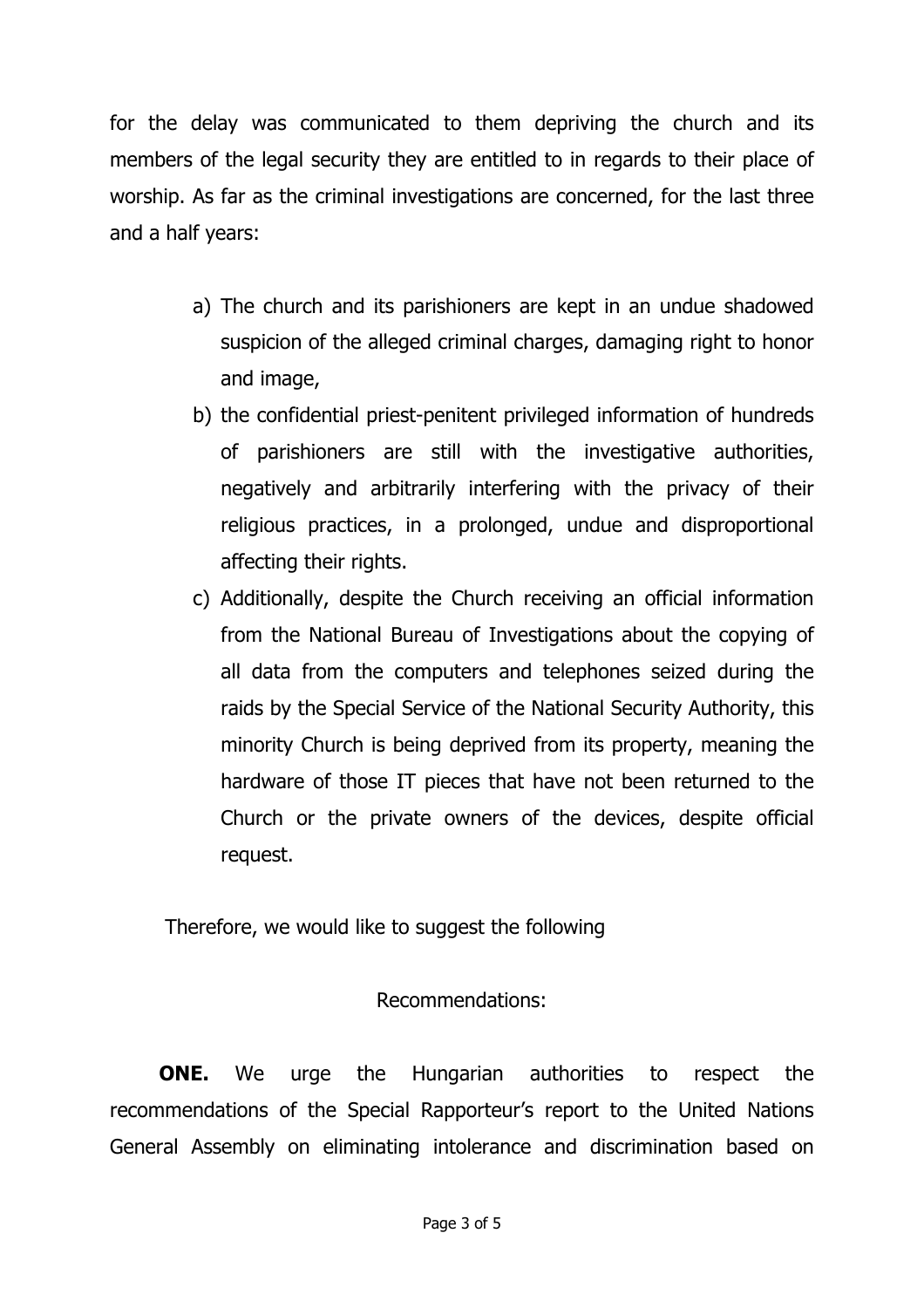for the delay was communicated to them depriving the church and its members of the legal security they are entitled to in regards to their place of worship. As far as the criminal investigations are concerned, for the last three and <sup>a</sup> half years:

- a) The church and its parishioners are kept in an undue shadowed suspicion of the alleged criminal charges, damaging right to honor and image,
- b) the confidential priest-penitent privileged information of hundreds of parishioners are still with the investigative authorities, negatively and arbitrarily interfering with the privacy of their religious practices, in <sup>a</sup> prolonged, undue and disproportional affecting their rights.
- c) Additionally, despite the Church receiving an official information from the National Bureau of Investigations about the copying of all data from the computers and telephones seized during the raids by the Special Service of the National Security Authority, this minority Church is being deprived from its property, meaning the hardware of those IT pieces that have not been returned to the Church or the private owners of the devices, despite official request.

Therefore, we would like to suggest the following

## Recommendations:

**ONE.** We urge the Hungarian authorities to respect the recommendations of the Special Rapporteur'<sup>s</sup> report to the United Nations General Assembly on eliminating intolerance and discrimination based on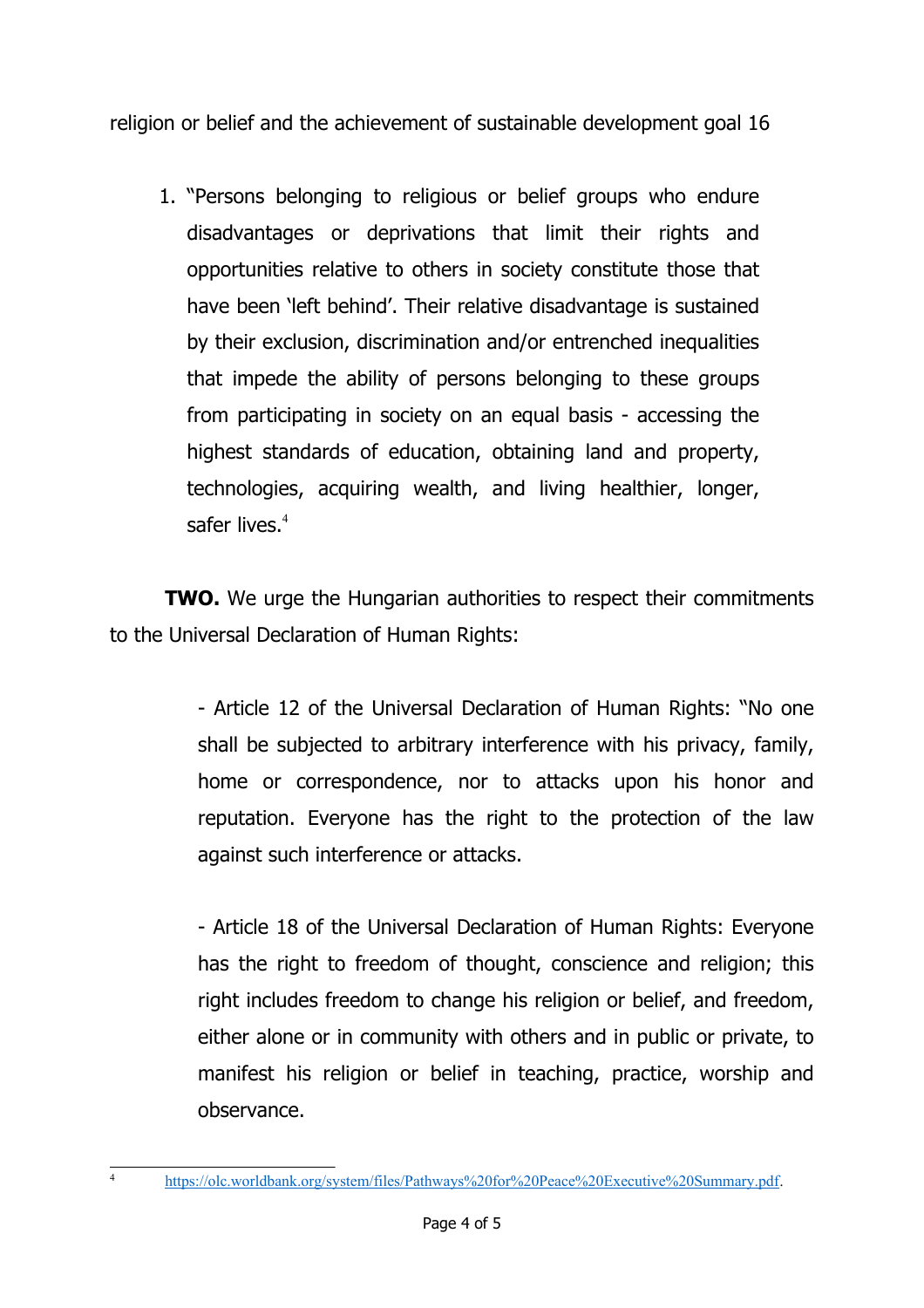religion or belief and the achievement of sustainable development goal 16

1. "Persons belonging to religious or belief groups who endure disadvantages or deprivations that limit their rights and opportunities relative to others in society constitute those that have been 'left behind'. Their relative disadvantage is sustained by their exclusion, discrimination and/or entrenched inequalities that impede the ability of persons belonging to these groups from participating in society on an equal basis - accessing the highest standards of education, obtaining land and property, technologies, acquiring wealth, and living healthier, longer, safer lives. $^{\rm 4}$ 

**TWO.** We urge the Hungarian authorities to respect their commitments to the Universal Declaration of Human Rights:

> - Article 12 of the Universal Declaration of Human Rights: "No one shall be subjected to arbitrary interference with his privacy, family, home or correspondence, nor to attacks upon his honor and reputation. Everyone has the right to the protection of the law against such interference or attacks.

> - Article 18 of the Universal Declaration of Human Rights: Everyone has the right to freedom of thought, conscience and religion; this right includes freedom to change his religion or belief, and freedom, either alone or in community with others and in public or private, to manifest his religion or belief in teaching, practice, worship and observance.

<sup>4</sup> <https://olc.worldbank.org/system/files/Pathways%20for%20Peace%20Executive%20Summary.pdf>.